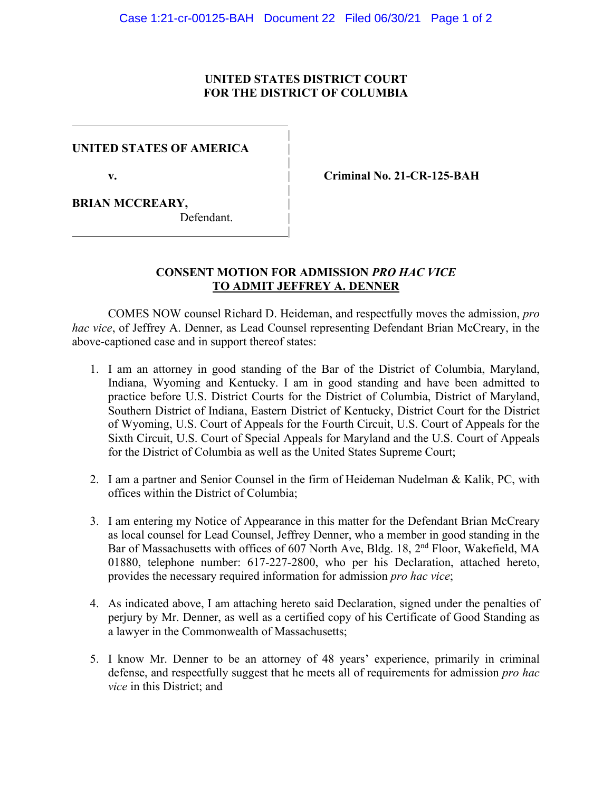## **UNITED STATES DISTRICT COURT FOR THE DISTRICT OF COLUMBIA**

|

|

|

|

#### **UNITED STATES OF AMERICA** |

**v.** | **Criminal No. 21-CR-125-BAH**

**BRIAN MCCREARY,** 

Defendant.

# **CONSENT MOTION FOR ADMISSION** *PRO HAC VICE* **TO ADMIT JEFFREY A. DENNER**

COMES NOW counsel Richard D. Heideman, and respectfully moves the admission, *pro hac vice*, of Jeffrey A. Denner, as Lead Counsel representing Defendant Brian McCreary, in the above-captioned case and in support thereof states:

- 1. I am an attorney in good standing of the Bar of the District of Columbia, Maryland, Indiana, Wyoming and Kentucky. I am in good standing and have been admitted to practice before U.S. District Courts for the District of Columbia, District of Maryland, Southern District of Indiana, Eastern District of Kentucky, District Court for the District of Wyoming, U.S. Court of Appeals for the Fourth Circuit, U.S. Court of Appeals for the Sixth Circuit, U.S. Court of Special Appeals for Maryland and the U.S. Court of Appeals for the District of Columbia as well as the United States Supreme Court;
- 2. I am a partner and Senior Counsel in the firm of Heideman Nudelman & Kalik, PC, with offices within the District of Columbia;
- 3. I am entering my Notice of Appearance in this matter for the Defendant Brian McCreary as local counsel for Lead Counsel, Jeffrey Denner, who a member in good standing in the Bar of Massachusetts with offices of 607 North Ave, Bldg. 18, 2nd Floor, Wakefield, MA 01880, telephone number: 617-227-2800, who per his Declaration, attached hereto, provides the necessary required information for admission *pro hac vice*;
- 4. As indicated above, I am attaching hereto said Declaration, signed under the penalties of perjury by Mr. Denner, as well as a certified copy of his Certificate of Good Standing as a lawyer in the Commonwealth of Massachusetts;
- 5. I know Mr. Denner to be an attorney of 48 years' experience, primarily in criminal defense, and respectfully suggest that he meets all of requirements for admission *pro hac vice* in this District; and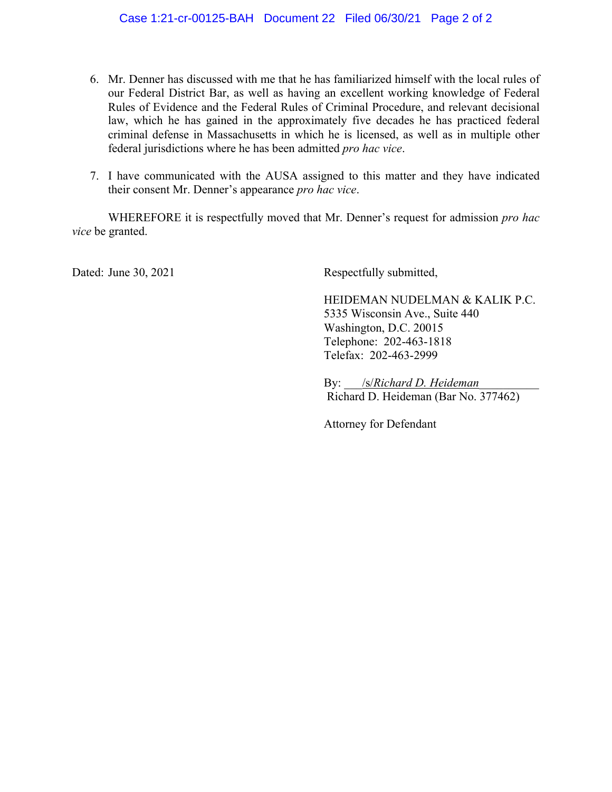- 6. Mr. Denner has discussed with me that he has familiarized himself with the local rules of our Federal District Bar, as well as having an excellent working knowledge of Federal Rules of Evidence and the Federal Rules of Criminal Procedure, and relevant decisional law, which he has gained in the approximately five decades he has practiced federal criminal defense in Massachusetts in which he is licensed, as well as in multiple other federal jurisdictions where he has been admitted *pro hac vice*.
- 7. I have communicated with the AUSA assigned to this matter and they have indicated their consent Mr. Denner's appearance *pro hac vice*.

WHEREFORE it is respectfully moved that Mr. Denner's request for admission *pro hac vice* be granted.

Dated: June 30, 2021 Respectfully submitted,

HEIDEMAN NUDELMAN & KALIK P.C. 5335 Wisconsin Ave., Suite 440 Washington, D.C. 20015 Telephone: 202-463-1818 Telefax: 202-463-2999

By: /s/*Richard D. Heideman* Richard D. Heideman (Bar No. 377462)

Attorney for Defendant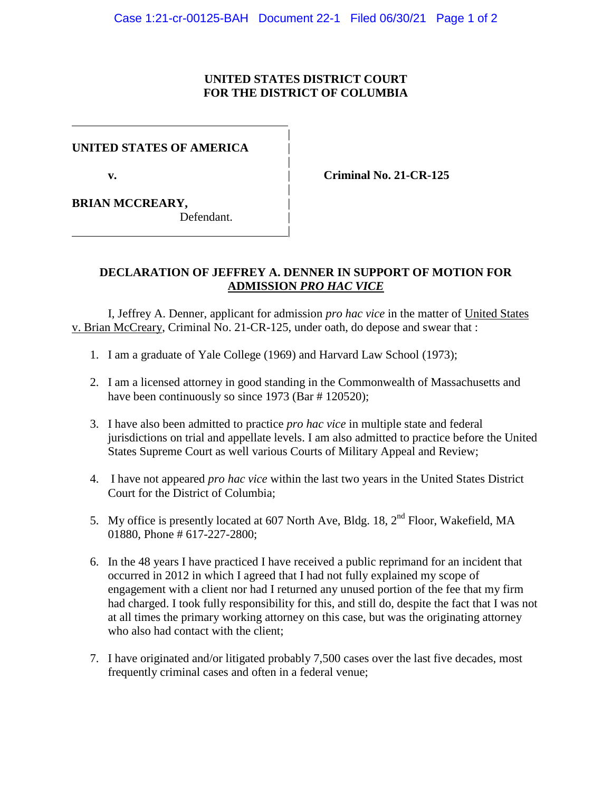# **UNITED STATES DISTRICT COURT FOR THE DISTRICT OF COLUMBIA**

|

|

|

|

#### **UNITED STATES OF AMERICA** |

**v.** | **Criminal No. 21-CR-125**

**BRIAN MCCREARY,** |

Defendant.

# **DECLARATION OF JEFFREY A. DENNER IN SUPPORT OF MOTION FOR ADMISSION** *PRO HAC VICE*

I, Jeffrey A. Denner, applicant for admission *pro hac vice* in the matter of United States v. Brian McCreary, Criminal No. 21-CR-125, under oath, do depose and swear that :

- 1. I am a graduate of Yale College (1969) and Harvard Law School (1973);
- 2. I am a licensed attorney in good standing in the Commonwealth of Massachusetts and have been continuously so since 1973 (Bar # 120520);
- 3. I have also been admitted to practice *pro hac vice* in multiple state and federal jurisdictions on trial and appellate levels. I am also admitted to practice before the United States Supreme Court as well various Courts of Military Appeal and Review;
- 4. I have not appeared *pro hac vice* within the last two years in the United States District Court for the District of Columbia;
- 5. My office is presently located at 607 North Ave, Bldg. 18, 2<sup>nd</sup> Floor, Wakefield, MA 01880, Phone # 617-227-2800;
- 6. In the 48 years I have practiced I have received a public reprimand for an incident that occurred in 2012 in which I agreed that I had not fully explained my scope of engagement with a client nor had I returned any unused portion of the fee that my firm had charged. I took fully responsibility for this, and still do, despite the fact that I was not at all times the primary working attorney on this case, but was the originating attorney who also had contact with the client;
- 7. I have originated and/or litigated probably 7,500 cases over the last five decades, most frequently criminal cases and often in a federal venue;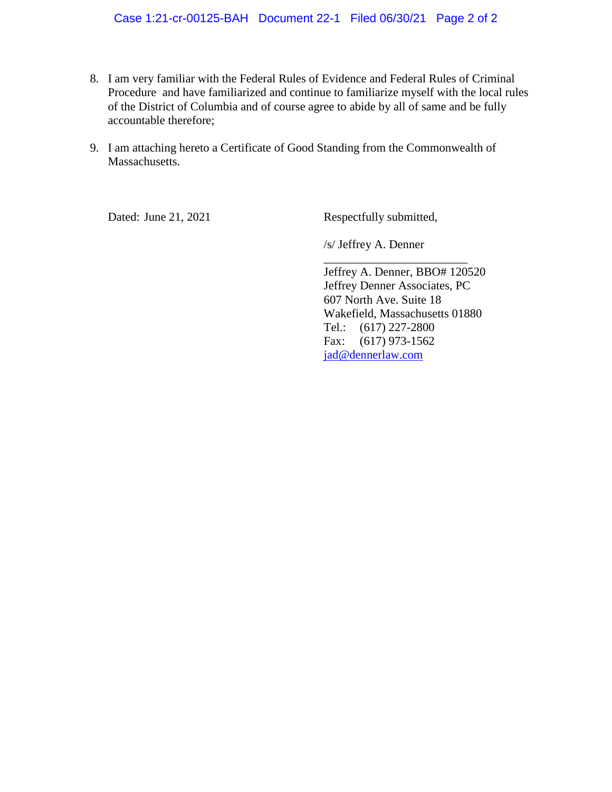#### Case 1:21-cr-00125-BAH Document 22-1 Filed 06/30/21 Page 2 of 2

- 8. I am very familiar with the Federal Rules of Evidence and Federal Rules of Criminal Procedure and have familiarized and continue to familiarize myself with the local rules of the District of Columbia and of course agree to abide by all of same and be fully accountable therefore;
- 9. I am attaching hereto a Certificate of Good Standing from the Commonwealth of Massachusetts.

Dated: June 21, 2021 Respectfully submitted,

/s/ Jeffrey A. Denner

Jeffrey A. Denner, BBO# 120520 Jeffrey Denner Associates, PC 607 North Ave. Suite 18 Wakefield, Massachusetts 01880 Tel.: (617) 227-2800 Fax: (617) 973-1562 jad@dennerlaw.com

\_\_\_\_\_\_\_\_\_\_\_\_\_\_\_\_\_\_\_\_\_\_\_\_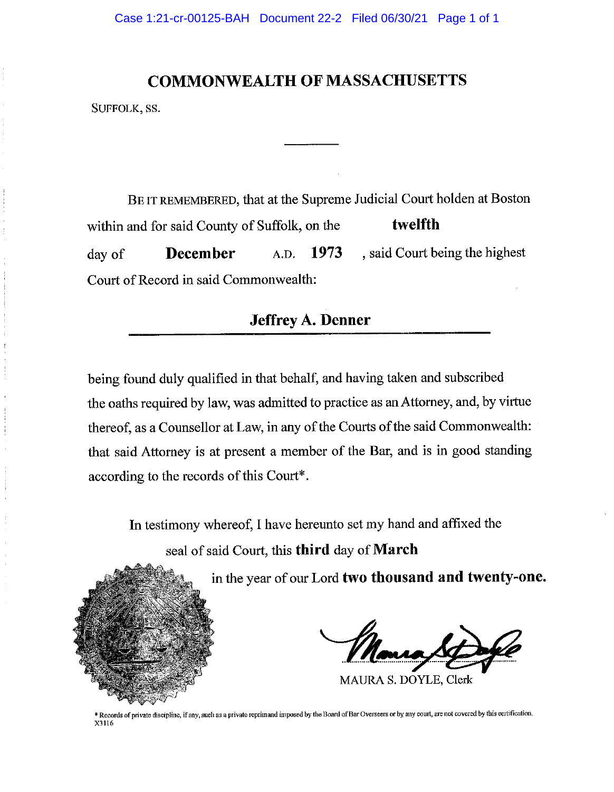# **COMMONWEALTH OF MASSACHUSETTS**

SUFFOLK, SS.

BE IT REMEMBERED, that at the Supreme Judicial Court holden at Boston twelfth within and for said County of Suffolk, on the , said Court being the highest day of **December**  $A.D. 1973$ Court of Record in said Commonwealth:

# **Jeffrey A. Denner**

being found duly qualified in that behalf, and having taken and subscribed the oaths required by law, was admitted to practice as an Attorney, and, by virtue thereof, as a Counsellor at Law, in any of the Courts of the said Commonwealth: that said Attorney is at present a member of the Bar, and is in good standing according to the records of this Court\*.

In testimony whereof, I have hereunto set my hand and affixed the seal of said Court, this third day of March

in the year of our Lord two thousand and twenty-one.

MAURA S. DOYLE, Clerk